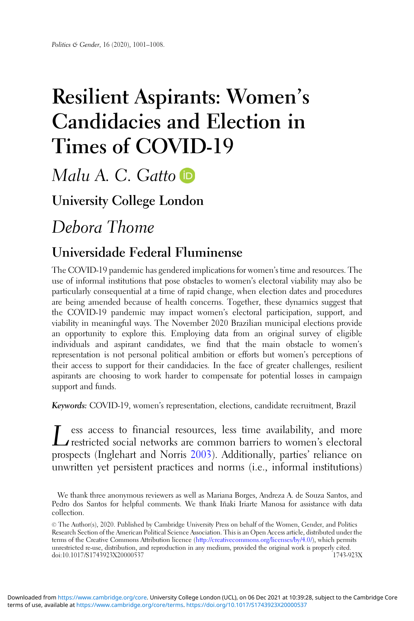# Resilient Aspirants: Women' s Candidacies and Election in Times of COVID-19

Malu A. C. Gatto

University College London

Debora Thome

## Universidade Federal Fluminense

The COVID-19 pandemic has gendered implications for women's time and resources. The use of informal institutions that pose obstacles to women's electoral viability may also be particularly consequential at a time of rapid change, when election dates and procedures are being amended because of health concerns. Together, these dynamics suggest that the COVID-19 pandemic may impact women's electoral participation, support, and viability in meaningful ways. The November 2020 Brazilian municipal elections provide an opportunity to explore this. Employing data from an original survey of eligible individuals and aspirant candidates, we find that the main obstacle to women's representation is not personal political ambition or efforts but women's perceptions of their access to support for their candidacies. In the face of greater challenges, resilient aspirants are choosing to work harder to compensate for potential losses in campaign support and funds.

Keywords: COVID-19, women's representation, elections, candidate recruitment, Brazil

 $\sum$  restricted social networks are common barriers to women's electoral prospects (Inglehart and Norris [2003\)](#page-6-0). Additionally, parties' reliance on unwritten yet persistent practices and norms (i.e., informal institutions)

We thank three anonymous reviewers as well as Mariana Borges, Andreza A. de Souza Santos, and Pedro dos Santos for helpful comments. We thank Iñaki Iriarte Manosa for assistance with data collection.

<sup>©</sup> The Author(s), 2020. Published by Cambridge University Press on behalf of the Women, Gender, and Politics Research Section of the American Political Science Association. This is an Open Access article, distributed under the terms of the Creative Commons Attribution licence [\(http://creativecommons.org/licenses/by/4.0/\)](http://creativecommons.org/licenses/by/4.0/), which permits unrestricted re-use, distribution, and reproduction in any medium, provided the original work is properly cited. doi:10.1017/S1743923X20000537 1743-923X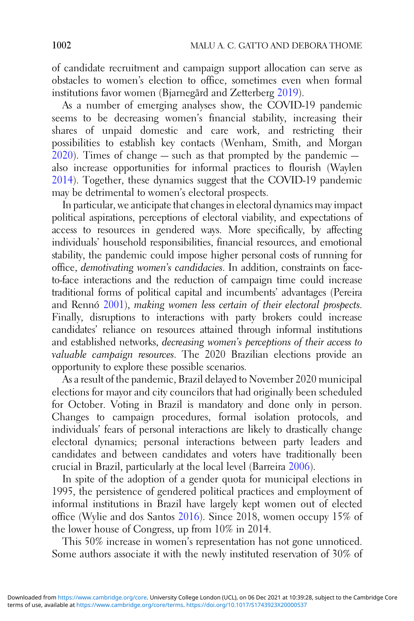of candidate recruitment and campaign support allocation can serve as obstacles to women's election to office, sometimes even when formal institutions favor women (Bjarnegård and Zetterberg [2019](#page-6-0)).

As a number of emerging analyses show, the COVID-19 pandemic seems to be decreasing women's financial stability, increasing their shares of unpaid domestic and care work, and restricting their possibilities to establish key contacts (Wenham, Smith, and Morgan  $2020$ ). Times of change — such as that prompted by the pandemic also increase opportunities for informal practices to flourish (Waylen [2014](#page-7-0)). Together, these dynamics suggest that the COVID-19 pandemic may be detrimental to women's electoral prospects.

In particular, we anticipate that changes in electoral dynamics may impact political aspirations, perceptions of electoral viability, and expectations of access to resources in gendered ways. More specifically, by affecting individuals' household responsibilities, financial resources, and emotional stability, the pandemic could impose higher personal costs of running for office, demotivating women's candidacies. In addition, constraints on faceto-face interactions and the reduction of campaign time could increase traditional forms of political capital and incumbents' advantages (Pereira and Rennó [2001](#page-7-0)), making women less certain of their electoral prospects. Finally, disruptions to interactions with party brokers could increase candidates' reliance on resources attained through informal institutions and established networks, decreasing women's perceptions of their access to valuable campaign resources. The 2020 Brazilian elections provide an opportunity to explore these possible scenarios.

As a result of the pandemic, Brazil delayed to November 2020 municipal elections for mayor and city councilors that had originally been scheduled for October. Voting in Brazil is mandatory and done only in person. Changes to campaign procedures, formal isolation protocols, and individuals' fears of personal interactions are likely to drastically change electoral dynamics; personal interactions between party leaders and candidates and between candidates and voters have traditionally been crucial in Brazil, particularly at the local level (Barreira [2006](#page-6-0)).

In spite of the adoption of a gender quota for municipal elections in 1995, the persistence of gendered political practices and employment of informal institutions in Brazil have largely kept women out of elected office (Wylie and dos Santos [2016\)](#page-7-0). Since 2018, women occupy 15% of the lower house of Congress, up from 10% in 2014.

This 50% increase in women's representation has not gone unnoticed. Some authors associate it with the newly instituted reservation of 30% of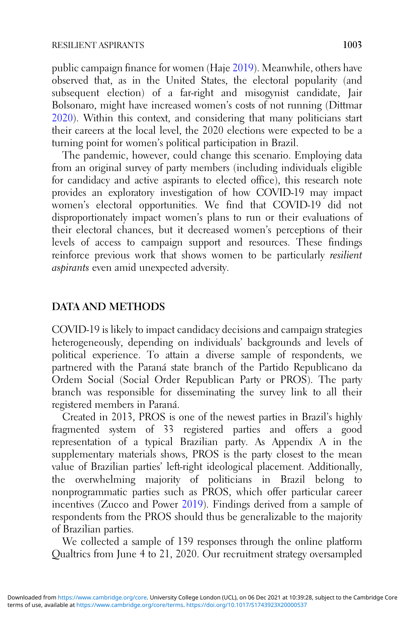public campaign finance for women (Haje [2019\)](#page-6-0). Meanwhile, others have observed that, as in the United States, the electoral popularity (and subsequent election) of a far-right and misogynist candidate, Jair Bolsonaro, might have increased women's costs of not running (Dittmar [2020](#page-6-0)). Within this context, and considering that many politicians start their careers at the local level, the 2020 elections were expected to be a turning point for women's political participation in Brazil.

The pandemic, however, could change this scenario. Employing data from an original survey of party members (including individuals eligible for candidacy and active aspirants to elected office), this research note provides an exploratory investigation of how COVID-19 may impact women's electoral opportunities. We find that COVID-19 did not disproportionately impact women's plans to run or their evaluations of their electoral chances, but it decreased women's perceptions of their levels of access to campaign support and resources. These findings reinforce previous work that shows women to be particularly resilient aspirants even amid unexpected adversity.

#### DATA AND METHODS

COVID-19 is likely to impact candidacy decisions and campaign strategies heterogeneously, depending on individuals' backgrounds and levels of political experience. To attain a diverse sample of respondents, we partnered with the Paraná state branch of the Partido Republicano da Ordem Social (Social Order Republican Party or PROS). The party branch was responsible for disseminating the survey link to all their registered members in Paraná.

Created in 2013, PROS is one of the newest parties in Brazil's highly fragmented system of 33 registered parties and offers a good representation of a typical Brazilian party. As Appendix A in the supplementary materials shows, PROS is the party closest to the mean value of Brazilian parties' left-right ideological placement. Additionally, the overwhelming majority of politicians in Brazil belong to nonprogrammatic parties such as PROS, which offer particular career incentives (Zucco and Power [2019\)](#page-7-0). Findings derived from a sample of respondents from the PROS should thus be generalizable to the majority of Brazilian parties.

We collected a sample of 139 responses through the online platform Qualtrics from June 4 to 21, 2020. Our recruitment strategy oversampled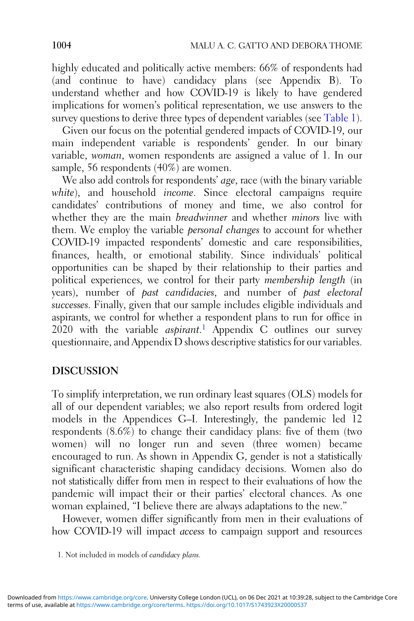highly educated and politically active members: 66% of respondents had (and continue to have) candidacy plans (see Appendix B). To understand whether and how COVID-19 is likely to have gendered implications for women's political representation, we use answers to the survey questions to derive three types of dependent variables (see [Table 1\)](#page-4-0).

Given our focus on the potential gendered impacts of COVID-19, our main independent variable is respondents' gender. In our binary variable, woman, women respondents are assigned a value of 1. In our sample, 56 respondents (40%) are women.

We also add controls for respondents' *age*, race (with the binary variable white), and household *income*. Since electoral campaigns require candidates' contributions of money and time, we also control for whether they are the main *breadwinner* and whether *minors* live with them. We employ the variable personal changes to account for whether COVID-19 impacted respondents' domestic and care responsibilities, finances, health, or emotional stability. Since individuals' political opportunities can be shaped by their relationship to their parties and political experiences, we control for their party membership length (in years), number of past candidacies, and number of past electoral successes. Finally, given that our sample includes eligible individuals and aspirants, we control for whether a respondent plans to run for office in 2020 with the variable *aspirant*.<sup>1</sup> Appendix C outlines our survey questionnaire, and Appendix D shows descriptive statistics for our variables.

### DISCUSSION

To simplify interpretation, we run ordinary least squares (OLS) models for all of our dependent variables; we also report results from ordered logit models in the Appendices G–I. Interestingly, the pandemic led 12 respondents  $(8.6\%)$  to change their candidacy plans: five of them (two women) will no longer run and seven (three women) became encouraged to run. As shown in Appendix G, gender is not a statistically significant characteristic shaping candidacy decisions. Women also do not statistically differ from men in respect to their evaluations of how the pandemic will impact their or their parties' electoral chances. As one woman explained, "I believe there are always adaptations to the new."

However, women differ significantly from men in their evaluations of how COVID-19 will impact access to campaign support and resources

<sup>1.</sup> Not included in models of candidacy plans.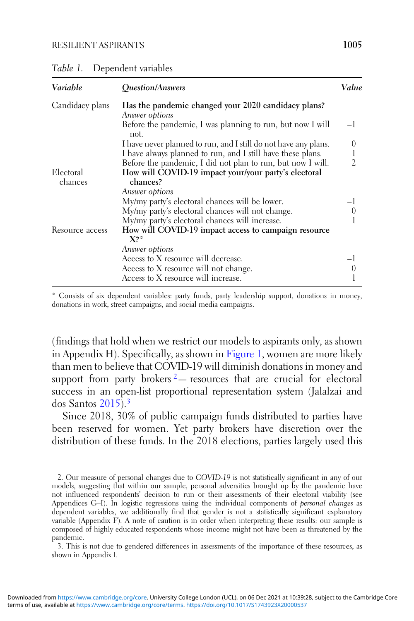<span id="page-4-0"></span>

| Table 1. | Dependent variables |  |
|----------|---------------------|--|
|----------|---------------------|--|

| Variable        | <i><u><b>Ouestion/Answers</b></u></i>                                                | Value    |
|-----------------|--------------------------------------------------------------------------------------|----------|
| Candidacy plans | Has the pandemic changed your 2020 candidacy plans?                                  |          |
|                 | Answer options<br>Before the pandemic, I was planning to run, but now I will<br>not. | $-1$     |
|                 | I have never planned to run, and I still do not have any plans.                      | $\theta$ |
|                 | I have always planned to run, and I still have these plans.                          | 1        |
|                 | Before the pandemic, I did not plan to run, but now I will.                          | 2        |
| Electoral       | How will COVID-19 impact your/your party's electoral                                 |          |
| chances         | chances?                                                                             |          |
|                 | Answer options                                                                       |          |
|                 | My/my party's electoral chances will be lower.                                       |          |
|                 | My/my party's electoral chances will not change.                                     | $\theta$ |
|                 | My/my party's electoral chances will increase.                                       |          |
| Resource access | How will COVID-19 impact access to campaign resource<br>$X?^*$                       |          |
|                 | Answer options                                                                       |          |
|                 | Access to X resource will decrease.                                                  |          |
|                 | Access to X resource will not change.                                                |          |
|                 | Access to X resource will increase.                                                  |          |

\* Consists of six dependent variables: party funds, party leadership support, donations in money, donations in work, street campaigns, and social media campaigns.

(findings that hold when we restrict our models to aspirants only, as shown in Appendix H). Specifically, as shown in [Figure 1](#page-5-0), women are more likely than men to believe that COVID-19 will diminish donations in money and support from party brokers  $2$ — resources that are crucial for electoral success in an open-list proportional representation system (Jalalzai and dos Santos [2015\)](#page-7-0).<sup>3</sup>

Since 2018, 30% of public campaign funds distributed to parties have been reserved for women. Yet party brokers have discretion over the distribution of these funds. In the 2018 elections, parties largely used this

2. Our measure of personal changes due to COVID-19 is not statistically significant in any of our models, suggesting that within our sample, personal adversities brought up by the pandemic have not influenced respondents' decision to run or their assessments of their electoral viability (see Appendices G–I). In logistic regressions using the individual components of *personal changes* as dependent variables, we additionally find that gender is not a statistically significant explanatory variable (Appendix F). A note of caution is in order when interpreting these results: our sample is composed of highly educated respondents whose income might not have been as threatened by the pandemic.

3. This is not due to gendered differences in assessments of the importance of these resources, as shown in Appendix I.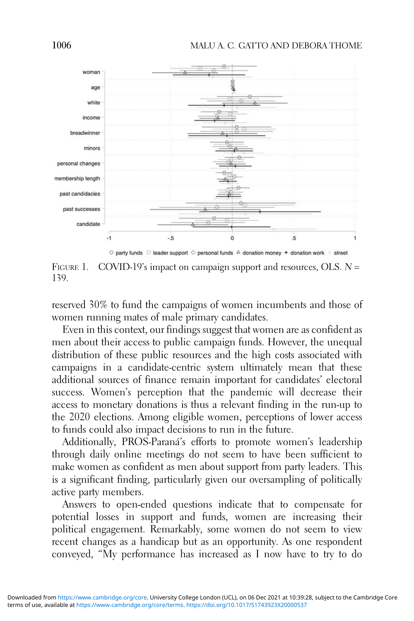<span id="page-5-0"></span>



reserved 30% to fund the campaigns of women incumbents and those of women running mates of male primary candidates.

Even in this context, our findings suggest that women are as confident as men about their access to public campaign funds. However, the unequal distribution of these public resources and the high costs associated with campaigns in a candidate-centric system ultimately mean that these additional sources of finance remain important for candidates' electoral success. Women's perception that the pandemic will decrease their access to monetary donations is thus a relevant finding in the run-up to the 2020 elections. Among eligible women, perceptions of lower access to funds could also impact decisions to run in the future.

Additionally, PROS-Paraná's efforts to promote women's leadership through daily online meetings do not seem to have been sufficient to make women as confident as men about support from party leaders. This is a significant finding, particularly given our oversampling of politically active party members.

Answers to open-ended questions indicate that to compensate for potential losses in support and funds, women are increasing their political engagement. Remarkably, some women do not seem to view recent changes as a handicap but as an opportunity. As one respondent conveyed, "My performance has increased as I now have to try to do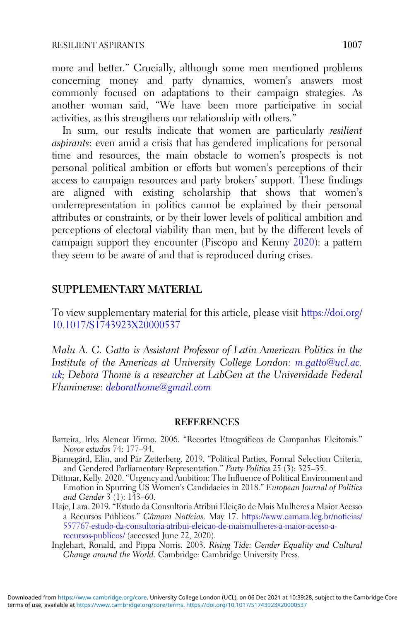<span id="page-6-0"></span>more and better." Crucially, although some men mentioned problems concerning money and party dynamics, women's answers most commonly focused on adaptations to their campaign strategies. As another woman said, "We have been more participative in social activities, as this strengthens our relationship with others."

In sum, our results indicate that women are particularly *resilient* aspirants: even amid a crisis that has gendered implications for personal time and resources, the main obstacle to women's prospects is not personal political ambition or efforts but women's perceptions of their access to campaign resources and party brokers' support. These findings are aligned with existing scholarship that shows that women's underrepresentation in politics cannot be explained by their personal attributes or constraints, or by their lower levels of political ambition and perceptions of electoral viability than men, but by the different levels of campaign support they encounter (Piscopo and Kenny [2020\)](#page-7-0): a pattern they seem to be aware of and that is reproduced during crises.

#### SUPPLEMENTARY MATERIAL

To view supplementary material for this article, please visit [https://doi.org/](https://doi.org/10.1017/S1743923X20000537) [10.1017/S1743923X20000537](https://doi.org/10.1017/S1743923X20000537)

Malu A. C. Gatto is Assistant Professor of Latin American Politics in the Institute of the Americas at University College London: [m.gatto@ucl.ac.](mailto:m.gatto@ucl.ac.uk) [uk;](mailto:m.gatto@ucl.ac.uk) Debora Thome is a researcher at LabGen at the Universidade Federal Fluminense: [deborathome@gmail.com](mailto:deborathome@gmail.com)

#### REFERENCES

- Barreira, Irlys Alencar Firmo. 2006. "Recortes Etnográficos de Campanhas Eleitorais." Novos estudos 74: 177–94.
- Bjarnegård, Elin, and Pär Zetterberg. 2019. "Political Parties, Formal Selection Criteria, and Gendered Parliamentary Representation." Party Politics 25 (3): 325–35.
- Dittmar, Kelly. 2020. "Urgency and Ambition: The Influence of Political Environment and Emotion in Spurring US Women's Candidacies in 2018." European Journal of Politics and Gender  $3(1)$ : 143–60.
- Haje, Lara. 2019. "Estudo da Consultoria Atribui Eleição de Mais Mulheres a Maior Acesso a Recursos Públicos." Câmara Notícias. May 17. [https://www.camara.leg.br/noticias/](https://www.camara.leg.br/noticias/557767-estudo-da-consultoria-atribui-eleicao-de-maismulheres-a-maior-acesso-a-recursos-publicos/) [557767-estudo-da-consultoria-atribui-eleicao-de-maismulheres-a-maior-acesso-a](https://www.camara.leg.br/noticias/557767-estudo-da-consultoria-atribui-eleicao-de-maismulheres-a-maior-acesso-a-recursos-publicos/)[recursos-publicos/](https://www.camara.leg.br/noticias/557767-estudo-da-consultoria-atribui-eleicao-de-maismulheres-a-maior-acesso-a-recursos-publicos/) (accessed June 22, 2020).
- Inglehart, Ronald, and Pippa Norris. 2003. Rising Tide: Gender Equality and Cultural Change around the World. Cambridge: Cambridge University Press.